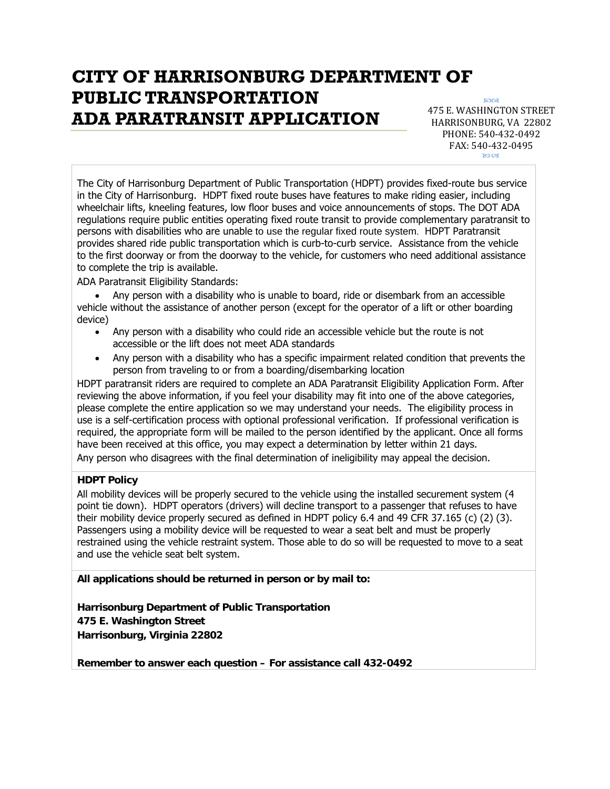# **CITY OF HARRISONBURG DEPARTMENT OF PUBLIC TRANSPORTATION ADA PARATRANSIT APPLICATION**

80<sub>Q8</sub> 475 E. WASHINGTON STREET HARRISONBURG, VA 22802

PHONE: 540‐432‐0492 FAX: 540‐432‐0495 ED

The City of Harrisonburg Department of Public Transportation (HDPT) provides fixed-route bus service in the City of Harrisonburg. HDPT fixed route buses have features to make riding easier, including wheelchair lifts, kneeling features, low floor buses and voice announcements of stops. The DOT ADA regulations require public entities operating fixed route transit to provide complementary paratransit to persons with disabilities who are unable to use the regular fixed route system. HDPT Paratransit provides shared ride public transportation which is curb-to-curb service. Assistance from the vehicle to the first doorway or from the doorway to the vehicle, for customers who need additional assistance to complete the trip is available.

ADA Paratransit Eligibility Standards:

• Any person with a disability who is unable to board, ride or disembark from an accessible vehicle without the assistance of another person (except for the operator of a lift or other boarding device)

- Any person with a disability who could ride an accessible vehicle but the route is not accessible or the lift does not meet ADA standards
- Any person with a disability who has a specific impairment related condition that prevents the person from traveling to or from a boarding/disembarking location

HDPT paratransit riders are required to complete an ADA Paratransit Eligibility Application Form. After reviewing the above information, if you feel your disability may fit into one of the above categories, please complete the entire application so we may understand your needs. The eligibility process in use is a self-certification process with optional professional verification. If professional verification is required, the appropriate form will be mailed to the person identified by the applicant. Once all forms have been received at this office, you may expect a determination by letter within 21 days.

Any person who disagrees with the final determination of ineligibility may appeal the decision.

#### **HDPT Policy**

All mobility devices will be properly secured to the vehicle using the installed securement system (4 point tie down). HDPT operators (drivers) will decline transport to a passenger that refuses to have their mobility device properly secured as defined in HDPT policy 6.4 and 49 CFR 37.165 (c) (2) (3). Passengers using a mobility device will be requested to wear a seat belt and must be properly restrained using the vehicle restraint system. Those able to do so will be requested to move to a seat and use the vehicle seat belt system.

**All applications should be returned in person or by mail to:** 

**Harrisonburg Department of Public Transportation 475 E. Washington Street Harrisonburg, Virginia 22802** 

**Remember to answer each question – For assistance call 432-0492**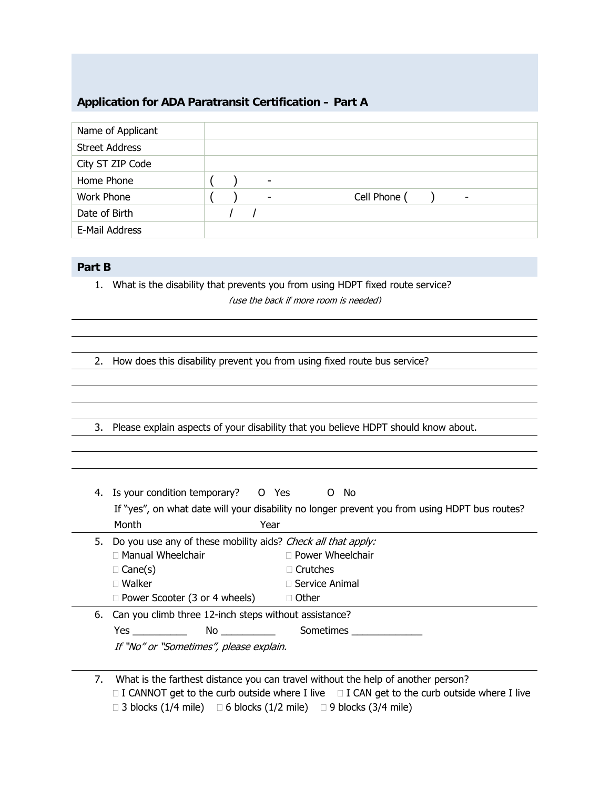## **Application for ADA Paratransit Certification – Part A**

| Name of Applicant     |                                                                      |
|-----------------------|----------------------------------------------------------------------|
| <b>Street Address</b> |                                                                      |
| City ST ZIP Code      |                                                                      |
| Home Phone            | ۰                                                                    |
| <b>Work Phone</b>     | Cell Phone (<br>$\overline{\phantom{0}}$<br>$\overline{\phantom{0}}$ |
| Date of Birth         |                                                                      |
| E-Mail Address        |                                                                      |

### **Part B**

1. What is the disability that prevents you from using HDPT fixed route service? (use the back if more room is needed)

2. How does this disability prevent you from using fixed route bus service?

3. Please explain aspects of your disability that you believe HDPT should know about.

| Month<br>Year<br>5. Do you use any of these mobility aids? Check all that apply:                                                                                                                                                                                                                                                                          |
|-----------------------------------------------------------------------------------------------------------------------------------------------------------------------------------------------------------------------------------------------------------------------------------------------------------------------------------------------------------|
|                                                                                                                                                                                                                                                                                                                                                           |
| $\Box$ Power Wheelchair<br>$\Box$ Manual Wheelchair<br>$\Box$ Crutches<br>$\Box$ Cane(s)<br>$\Box$ Walker<br>$\Box$ Service Animal<br>$\Box$ Other<br>$\Box$ Power Scooter (3 or 4 wheels)                                                                                                                                                                |
| 6. Can you climb three 12-inch steps without assistance?<br>No and the state of the state of the state of the state of the state of the state of the state of the state of the state of the state of the state of the state of the state of the state of the state of the state of the sta<br>Sometimes<br>Yes<br>If "No" or "Sometimes", please explain. |

7. What is the farthest distance you can travel without the help of another person?  $\Box$  I CANNOT get to the curb outside where I live  $\Box$  I CAN get to the curb outside where I live  $\Box$  3 blocks (1/4 mile)  $\Box$  6 blocks (1/2 mile)  $\Box$  9 blocks (3/4 mile)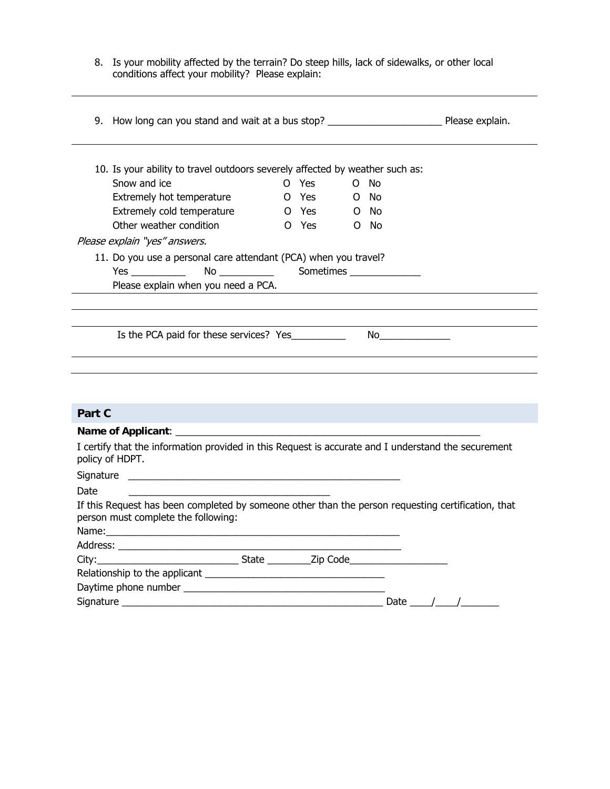8. Is your mobility affected by the terrain? Do steep hills, lack of sidewalks, or other local conditions affect your mobility? Please explain:

| 10. Is your ability to travel outdoors severely affected by weather such as:                                                              |  |            |  |        |  |
|-------------------------------------------------------------------------------------------------------------------------------------------|--|------------|--|--------|--|
| Snow and ice                                                                                                                              |  | O Yes      |  | O No   |  |
| Extremely hot temperature                                                                                                                 |  | O Yes      |  | $O$ No |  |
| Extremely cold temperature                                                                                                                |  | O Yes O No |  |        |  |
| Other weather condition                                                                                                                   |  | O Yes      |  | $O$ No |  |
| Please explain "yes" answers.                                                                                                             |  |            |  |        |  |
| 11. Do you use a personal care attendant (PCA) when you travel?                                                                           |  |            |  |        |  |
|                                                                                                                                           |  |            |  |        |  |
|                                                                                                                                           |  |            |  |        |  |
|                                                                                                                                           |  |            |  |        |  |
|                                                                                                                                           |  |            |  |        |  |
|                                                                                                                                           |  |            |  |        |  |
|                                                                                                                                           |  |            |  |        |  |
|                                                                                                                                           |  |            |  |        |  |
|                                                                                                                                           |  |            |  |        |  |
|                                                                                                                                           |  |            |  |        |  |
|                                                                                                                                           |  |            |  |        |  |
|                                                                                                                                           |  |            |  |        |  |
|                                                                                                                                           |  |            |  |        |  |
|                                                                                                                                           |  |            |  |        |  |
|                                                                                                                                           |  |            |  |        |  |
|                                                                                                                                           |  |            |  |        |  |
|                                                                                                                                           |  |            |  |        |  |
| Part C<br>I certify that the information provided in this Request is accurate and I understand the securement<br>policy of HDPT.<br>Date  |  |            |  |        |  |
|                                                                                                                                           |  |            |  |        |  |
|                                                                                                                                           |  |            |  |        |  |
| If this Request has been completed by someone other than the person requesting certification, that<br>person must complete the following: |  |            |  |        |  |
|                                                                                                                                           |  |            |  |        |  |
|                                                                                                                                           |  |            |  |        |  |
|                                                                                                                                           |  |            |  |        |  |
| City: City: City: City: City: City: Cole                                                                                                  |  |            |  |        |  |